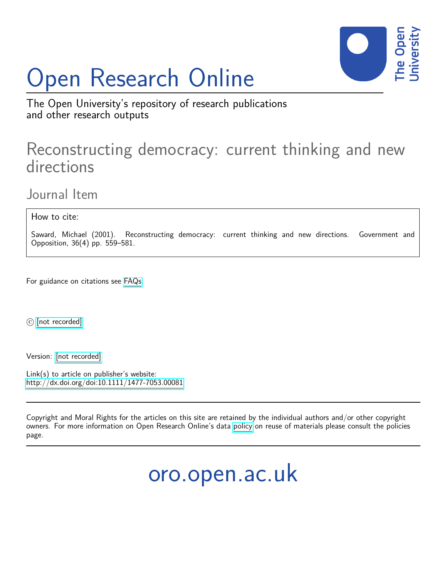# Open Research Online



The Open University's repository of research publications and other research outputs

## Reconstructing democracy: current thinking and new directions

Journal Item

How to cite:

Saward, Michael (2001). Reconstructing democracy: current thinking and new directions. Government and Opposition, 36(4) pp. 559–581.

For guidance on citations see [FAQs.](http://oro.open.ac.uk/help/helpfaq.html)

 $\odot$  [\[not recorded\]](http://oro.open.ac.uk/help/helpfaq.html#Unrecorded_information_on_coversheet)

Version: [\[not recorded\]](http://oro.open.ac.uk/help/helpfaq.html#Unrecorded_information_on_coversheet)

Link(s) to article on publisher's website: <http://dx.doi.org/doi:10.1111/1477-7053.00081>

Copyright and Moral Rights for the articles on this site are retained by the individual authors and/or other copyright owners. For more information on Open Research Online's data [policy](http://oro.open.ac.uk/policies.html) on reuse of materials please consult the policies page.

oro.open.ac.uk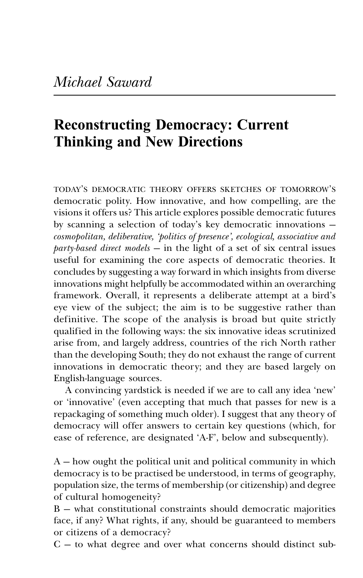## **Reconstructing Democracy: Current Thinking and New Directions**

TODAY'S DEMOCRATIC THEORY OFFERS SKETCHES OF TOMORROW'S democratic polity. How innovative, and how compelling, are the visions it offers us? This article explores possible democratic futures by scanning a selection of today's key democratic innovations *cosmopolitan, deliberative, 'politics of presence', ecological, associative and party-based direct models* — in the light of a set of six central issues useful for examining the core aspects of democratic theories. It concludes by suggesting a way forward in which insights from diverse innovations might helpfully be accommodated within an overarching framework. Overall, it represents a deliberate attempt at a bird's eye view of the subject; the aim is to be suggestive rather than definitive. The scope of the analysis is broad but quite strictly qualified in the following ways: the six innovative ideas scrutinized arise from, and largely address, countries of the rich North rather than the developing South; they do not exhaust the range of current innovations in democratic theory; and they are based largely on English-language sources.

A convincing yardstick is needed if we are to call any idea 'new' or 'innovative' (even accepting that much that passes for new is a repackaging of something much older). I suggest that any theory of democracy will offer answers to certain key questions (which, for ease of reference, are designated 'A-F', below and subsequently).

A — how ought the political unit and political community in which democracy is to be practised be understood, in terms of geography, population size, the terms of membership (or citizenship) and degree of cultural homogeneity?

B — what constitutional constraints should democratic majorities face, if any? What rights, if any, should be guaranteed to members or citizens of a democracy?

 $C -$  to what degree and over what concerns should distinct sub-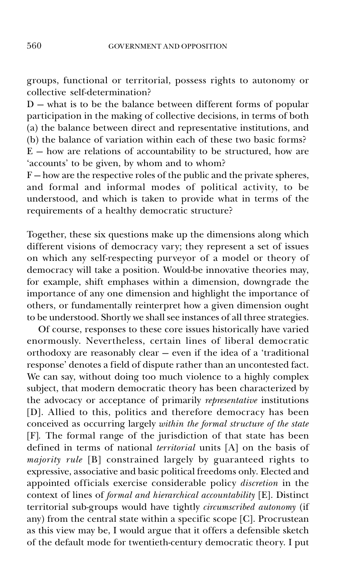groups, functional or territorial, possess rights to autonomy or collective self-determination?

 $D$  – what is to be the balance between different forms of popular participation in the making of collective decisions, in terms of both (a) the balance between direct and representative institutions, and (b) the balance of variation within each of these two basic forms?  $E -$  how are relations of accountability to be structured, how are 'accounts' to be given, by whom and to whom?

 $F$  – how are the respective roles of the public and the private spheres, and formal and informal modes of political activity, to be understood, and which is taken to provide what in terms of the requirements of a healthy democratic structure?

Together, these six questions make up the dimensions along which different visions of democracy vary; they represent a set of issues on which any self-respecting purveyor of a model or theory of democracy will take a position. Would-be innovative theories may, for example, shift emphases within a dimension, downgrade the importance of any one dimension and highlight the importance of others, or fundamentally reinterpret how a given dimension ought to be understood. Shortly we shall see instances of all three strategies.

Of course, responses to these core issues historically have varied enormously. Nevertheless, certain lines of liberal democratic orthodoxy are reasonably clear — even if the idea of a 'traditional response' denotes a field of dispute rather than an uncontested fact. We can say, without doing too much violence to a highly complex subject, that modern democratic theory has been characterized by the advocacy or acceptance of primarily *representative* institutions [D]. Allied to this, politics and therefore democracy has been conceived as occurring largely *within the formal structure of the state* [F]*.* The formal range of the jurisdiction of that state has been defined in terms of national *territorial* units [A] on the basis of *majority rule* [B] constrained largely by guaranteed rights to expressive, associative and basic political freedoms only. Elected and appointed officials exercise considerable policy *discretion* in the context of lines of *formal and hierarchical accountability* [E]. Distinct territorial sub-groups would have tightly *circumscribed autonomy* (if any) from the central state within a specific scope [C]. Procrustean as this view may be, I would argue that it offers a defensible sketch of the default mode for twentieth-century democratic theory. I put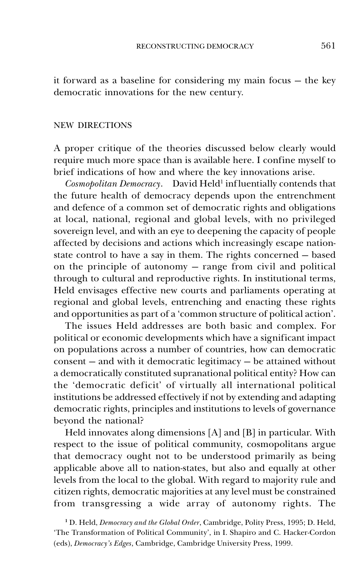it forward as a baseline for considering my main focus — the key democratic innovations for the new century.

### NEW DIRECTIONS

A proper critique of the theories discussed below clearly would require much more space than is available here. I confine myself to brief indications of how and where the key innovations arise.

*Cosmopolitan Democracy*. David Held1 influentially contends that the future health of democracy depends upon the entrenchment and defence of a common set of democratic rights and obligations at local, national, regional and global levels, with no privileged sovereign level, and with an eye to deepening the capacity of people affected by decisions and actions which increasingly escape nationstate control to have a say in them. The rights concerned — based on the principle of autonomy — range from civil and political through to cultural and reproductive rights. In institutional terms, Held envisages effective new courts and parliaments operating at regional and global levels, entrenching and enacting these rights and opportunities as part of a 'common structure of political action'.

The issues Held addresses are both basic and complex. For political or economic developments which have a significant impact on populations across a number of countries, how can democratic consent — and with it democratic legitimacy — be attained without a democratically constituted supranational political entity? How can the 'democratic deficit' of virtually all international political institutions be addressed effectively if not by extending and adapting democratic rights, principles and institutions to levels of governance beyond the national?

Held innovates along dimensions [A] and [B] in particular. With respect to the issue of political community, cosmopolitans argue that democracy ought not to be understood primarily as being applicable above all to nation-states, but also and equally at other levels from the local to the global. With regard to majority rule and citizen rights, democratic majorities at any level must be constrained from transgressing a wide array of autonomy rights. The

**<sup>1</sup>** D. Held, *Democracy and the Global Order*, Cambridge, Polity Press, 1995; D. Held, 'The Transformation of Political Community', in I. Shapiro and C. Hacker-Cordon (eds), *Democracy's Edges*, Cambridge, Cambridge University Press, 1999.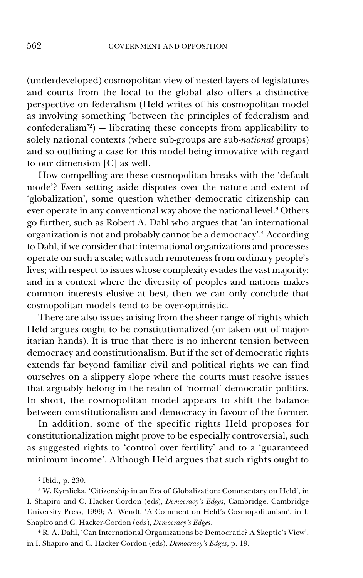(underdeveloped) cosmopolitan view of nested layers of legislatures and courts from the local to the global also offers a distinctive perspective on federalism (Held writes of his cosmopolitan model as involving something 'between the principles of federalism and confederalism'2 ) — liberating these concepts from applicability to solely national contexts (where sub-groups are sub-*national* groups) and so outlining a case for this model being innovative with regard to our dimension [C] as well.

How compelling are these cosmopolitan breaks with the 'default mode'? Even setting aside disputes over the nature and extent of 'globalization', some question whether democratic citizenship can ever operate in any conventional way above the national level.<sup>3</sup> Others go further, such as Robert A. Dahl who argues that 'an international organization is not and probably cannot be a democracy'.4 According to Dahl, if we consider that: international organizations and processes operate on such a scale; with such remoteness from ordinary people's lives; with respect to issues whose complexity evades the vast majority; and in a context where the diversity of peoples and nations makes common interests elusive at best, then we can only conclude that cosmopolitan models tend to be over-optimistic.

There are also issues arising from the sheer range of rights which Held argues ought to be constitutionalized (or taken out of majoritarian hands). It is true that there is no inherent tension between democracy and constitutionalism. But if the set of democratic rights extends far beyond familiar civil and political rights we can find ourselves on a slippery slope where the courts must resolve issues that arguably belong in the realm of 'normal' democratic politics. In short, the cosmopolitan model appears to shift the balance between constitutionalism and democracy in favour of the former.

In addition, some of the specific rights Held proposes for constitutionalization might prove to be especially controversial, such as suggested rights to 'control over fertility' and to a 'guaranteed minimum income'. Although Held argues that such rights ought to

**<sup>2</sup>** Ibid., p. 230.

**<sup>3</sup>** W. Kymlicka, 'Citizenship in an Era of Globalization: Commentary on Held', in I. Shapiro and C. Hacker-Cordon (eds), *Democracy's Edges*, Cambridge, Cambridge University Press, 1999; A. Wendt, 'A Comment on Held's Cosmopolitanism', in I. Shapiro and C. Hacker-Cordon (eds), *Democracy's Edges*.

**<sup>4</sup>** R. A. Dahl, 'Can International Organizations be Democratic? A Skeptic's View', in I. Shapiro and C. Hacker-Cordon (eds), *Democracy's Edges*, p. 19.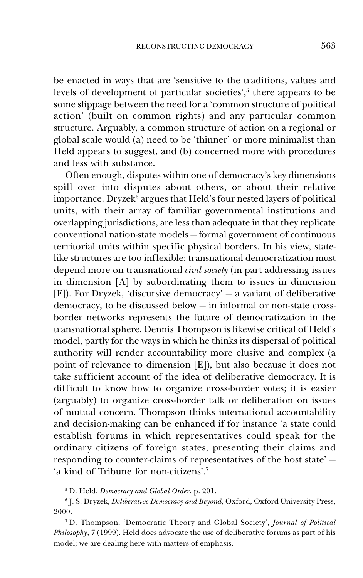be enacted in ways that are 'sensitive to the traditions, values and levels of development of particular societies',<sup>5</sup> there appears to be some slippage between the need for a 'common structure of political action' (built on common rights) and any particular common structure. Arguably, a common structure of action on a regional or global scale would (a) need to be 'thinner' or more minimalist than Held appears to suggest, and (b) concerned more with procedures and less with substance.

Often enough, disputes within one of democracy's key dimensions spill over into disputes about others, or about their relative importance. Dryzek $^6$  argues that Held's four nested layers of political units, with their array of familiar governmental institutions and overlapping jurisdictions, are less than adequate in that they replicate conventional nation-state models — formal government of continuous territorial units within specific physical borders. In his view, statelike structures are too inflexible; transnational democratization must depend more on transnational *civil society* (in part addressing issues in dimension [A] by subordinating them to issues in dimension [F]). For Dryzek, 'discursive democracy' — a variant of deliberative democracy, to be discussed below — in informal or non-state crossborder networks represents the future of democratization in the transnational sphere. Dennis Thompson is likewise critical of Held's model, partly for the ways in which he thinks its dispersal of political authority will render accountability more elusive and complex (a point of relevance to dimension [E]), but also because it does not take sufficient account of the idea of deliberative democracy. It is difficult to know how to organize cross-border votes; it is easier (arguably) to organize cross-border talk or deliberation on issues of mutual concern. Thompson thinks international accountability and decision-making can be enhanced if for instance 'a state could establish forums in which representatives could speak for the ordinary citizens of foreign states, presenting their claims and responding to counter-claims of representatives of the host state' — 'a kind of Tribune for non-citizens'.7

**<sup>5</sup>** D. Held, *Democracy and Global Order*, p. 201.

**<sup>6</sup>** J. S. Dryzek, *Deliberative Democracy and Beyond*, Oxford, Oxford University Press, 2000.

**<sup>7</sup>** D. Thompson, 'Democratic Theory and Global Society', *Journal of Political Philosophy*, 7 (1999). Held does advocate the use of deliberative forums as part of his model; we are dealing here with matters of emphasis.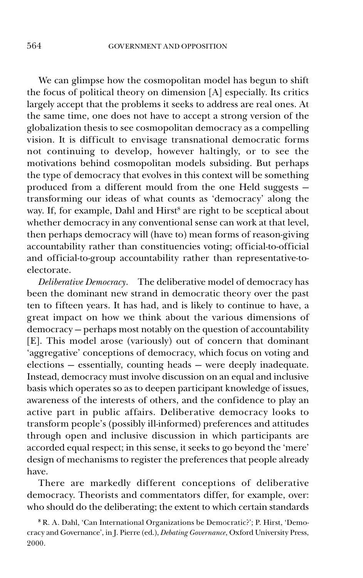We can glimpse how the cosmopolitan model has begun to shift the focus of political theory on dimension [A] especially. Its critics largely accept that the problems it seeks to address are real ones. At the same time, one does not have to accept a strong version of the globalization thesis to see cosmopolitan democracy as a compelling vision. It is difficult to envisage transnational democratic forms not continuing to develop, however haltingly, or to see the motivations behind cosmopolitan models subsiding. But perhaps the type of democracy that evolves in this context will be something produced from a different mould from the one Held suggests transforming our ideas of what counts as 'democracy' along the way. If, for example, Dahl and Hirst<sup>8</sup> are right to be sceptical about whether democracy in any conventional sense can work at that level, then perhaps democracy will (have to) mean forms of reason-giving accountability rather than constituencies voting; official-to-official and official-to-group accountability rather than representative-toelectorate.

*Deliberative Democracy*. The deliberative model of democracy has been the dominant new strand in democratic theory over the past ten to fifteen years. It has had, and is likely to continue to have, a great impact on how we think about the various dimensions of democracy — perhaps most notably on the question of accountability [E]. This model arose (variously) out of concern that dominant 'aggregative' conceptions of democracy, which focus on voting and elections — essentially, counting heads — were deeply inadequate. Instead, democracy must involve discussion on an equal and inclusive basis which operates so as to deepen participant knowledge of issues, awareness of the interests of others, and the confidence to play an active part in public affairs. Deliberative democracy looks to transform people's (possibly ill-informed) preferences and attitudes through open and inclusive discussion in which participants are accorded equal respect; in this sense, it seeks to go beyond the 'mere' design of mechanisms to register the preferences that people already have.

There are markedly different conceptions of deliberative democracy. Theorists and commentators differ, for example, over: who should do the deliberating; the extent to which certain standards

**<sup>8</sup>** R. A. Dahl, 'Can International Organizations be Democratic?'; P. Hirst, 'Democracy and Governance', in J. Pierre (ed.), *Debating Governance*, Oxford University Press, 2000.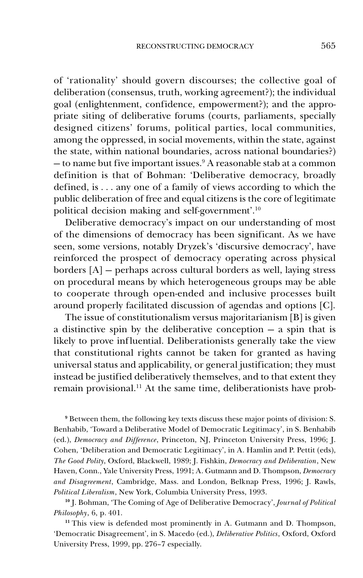of 'rationality' should govern discourses; the collective goal of deliberation (consensus, truth, working agreement?); the individual goal (enlightenment, confidence, empowerment?); and the appropriate siting of deliberative forums (courts, parliaments, specially designed citizens' forums, political parties, local communities, among the oppressed, in social movements, within the state, against the state, within national boundaries, across national boundaries?) — to name but five important issues.<sup>9</sup> A reasonable stab at a common definition is that of Bohman: 'Deliberative democracy, broadly defined, is . . . any one of a family of views according to which the public deliberation of free and equal citizens is the core of legitimate political decision making and self-government'.10

Deliberative democracy's impact on our understanding of most of the dimensions of democracy has been significant. As we have seen, some versions, notably Dryzek's 'discursive democracy', have reinforced the prospect of democracy operating across physical borders [A] — perhaps across cultural borders as well, laying stress on procedural means by which heterogeneous groups may be able to cooperate through open-ended and inclusive processes built around properly facilitated discussion of agendas and options [C].

The issue of constitutionalism versus majoritarianism [B] is given a distinctive spin by the deliberative conception — a spin that is likely to prove influential. Deliberationists generally take the view that constitutional rights cannot be taken for granted as having universal status and applicability, or general justification; they must instead be justified deliberatively themselves, and to that extent they remain provisional.<sup>11</sup> At the same time, deliberationists have prob-

**<sup>9</sup>** Between them, the following key texts discuss these major points of division: S. Benhabib, 'Toward a Deliberative Model of Democratic Legitimacy', in S. Benhabib (ed.), *Democracy and Difference*, Princeton, NJ, Princeton University Press, 1996; J. Cohen, 'Deliberation and Democratic Legitimacy', in A. Hamlin and P. Pettit (eds), *The Good Polity*, Oxford, Blackwell, 1989; J. Fishkin, *Democracy and Deliberation*, New Haven, Conn., Yale University Press, 1991; A. Gutmann and D. Thompson, *Democracy and Disagreement*, Cambridge, Mass. and London, Belknap Press, 1996; J. Rawls, *Political Liberalism*, New York, Columbia University Press, 1993.

**<sup>10</sup>** J. Bohman, 'The Coming of Age of Deliberative Democracy', *Journal of Political Philosophy*, 6, p. 401.

**<sup>11</sup>** This view is defended most prominently in A. Gutmann and D. Thompson, 'Democratic Disagreement', in S. Macedo (ed.), *Deliberative Politics*, Oxford, Oxford University Press, 1999, pp. 276–7 especially.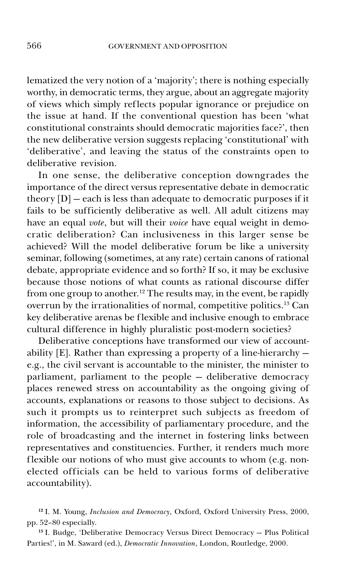lematized the very notion of a 'majority'; there is nothing especially worthy, in democratic terms, they argue, about an aggregate majority of views which simply reflects popular ignorance or prejudice on the issue at hand. If the conventional question has been 'what constitutional constraints should democratic majorities face?', then the new deliberative version suggests replacing 'constitutional' with 'deliberative', and leaving the status of the constraints open to deliberative revision.

In one sense, the deliberative conception downgrades the importance of the direct versus representative debate in democratic theory  $[D]$  – each is less than adequate to democratic purposes if it fails to be sufficiently deliberative as well. All adult citizens may have an equal *vote*, but will their *voice* have equal weight in democratic deliberation? Can inclusiveness in this larger sense be achieved? Will the model deliberative forum be like a university seminar, following (sometimes, at any rate) certain canons of rational debate, appropriate evidence and so forth? If so, it may be exclusive because those notions of what counts as rational discourse differ from one group to another.<sup>12</sup> The results may, in the event, be rapidly overrun by the irrationalities of normal, competitive politics.13 Can key deliberative arenas be f lexible and inclusive enough to embrace cultural difference in highly pluralistic post-modern societies?

Deliberative conceptions have transformed our view of accountability  $[E]$ . Rather than expressing a property of a line-hierarchy  $$ e.g., the civil servant is accountable to the minister, the minister to parliament, parliament to the people — deliberative democracy places renewed stress on accountability as the ongoing giving of accounts, explanations or reasons to those subject to decisions. As such it prompts us to reinterpret such subjects as freedom of information, the accessibility of parliamentary procedure, and the role of broadcasting and the internet in fostering links between representatives and constituencies. Further, it renders much more flexible our notions of who must give accounts to whom (e.g. nonelected officials can be held to various forms of deliberative accountability).

**<sup>12</sup>** I. M. Young, *Inclusion and Democracy*, Oxford, Oxford University Press, 2000, pp. 52–80 especially.

**<sup>13</sup>** I. Budge, 'Deliberative Democracy Versus Direct Democracy — Plus Political Parties!', in M. Saward (ed.), *Democratic Innovation*, London, Routledge, 2000.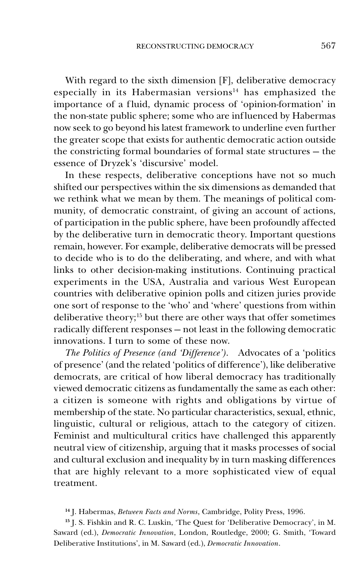With regard to the sixth dimension [F], deliberative democracy especially in its Habermasian versions $14$  has emphasized the importance of a f luid, dynamic process of 'opinion-formation' in the non-state public sphere; some who are influenced by Habermas now seek to go beyond his latest framework to underline even further the greater scope that exists for authentic democratic action outside the constricting formal boundaries of formal state structures — the essence of Dryzek's 'discursive' model.

In these respects, deliberative conceptions have not so much shifted our perspectives within the six dimensions as demanded that we rethink what we mean by them. The meanings of political community, of democratic constraint, of giving an account of actions, of participation in the public sphere, have been profoundly affected by the deliberative turn in democratic theory. Important questions remain, however. For example, deliberative democrats will be pressed to decide who is to do the deliberating, and where, and with what links to other decision-making institutions. Continuing practical experiments in the USA, Australia and various West European countries with deliberative opinion polls and citizen juries provide one sort of response to the 'who' and 'where' questions from within deliberative theory;15 but there are other ways that offer sometimes radically different responses — not least in the following democratic innovations. I turn to some of these now.

*The Politics of Presence (and 'Difference')*. Advocates of a 'politics of presence' (and the related 'politics of difference'), like deliberative democrats, are critical of how liberal democracy has traditionally viewed democratic citizens as fundamentally the same as each other: a citizen is someone with rights and obligations by virtue of membership of the state. No particular characteristics, sexual, ethnic, linguistic, cultural or religious, attach to the category of citizen. Feminist and multicultural critics have challenged this apparently neutral view of citizenship, arguing that it masks processes of social and cultural exclusion and inequality by in turn masking differences that are highly relevant to a more sophisticated view of equal treatment.

**<sup>14</sup>** J. Habermas, *Between Facts and Norms*, Cambridge, Polity Press, 1996.

**<sup>15</sup>** J. S. Fishkin and R. C. Luskin, 'The Quest for 'Deliberative Democracy', in M. Saward (ed.), *Democratic Innovation*, London, Routledge, 2000; G. Smith, 'Toward Deliberative Institutions', in M. Saward (ed.), *Democratic Innovation*.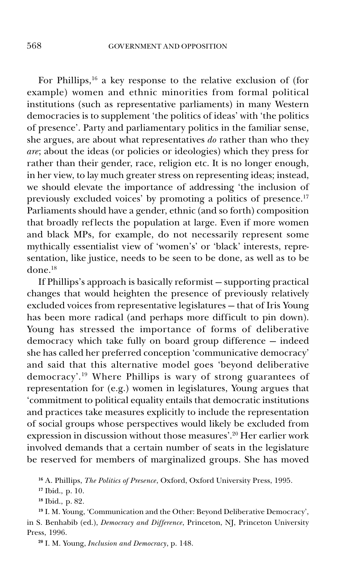For Phillips,16 a key response to the relative exclusion of (for example) women and ethnic minorities from formal political institutions (such as representative parliaments) in many Western democracies is to supplement 'the politics of ideas' with 'the politics of presence'. Party and parliamentary politics in the familiar sense, she argues, are about what representatives *do* rather than who they *are*; about the ideas (or policies or ideologies) which they press for rather than their gender, race, religion etc. It is no longer enough, in her view, to lay much greater stress on representing ideas; instead, we should elevate the importance of addressing 'the inclusion of previously excluded voices' by promoting a politics of presence.17 Parliaments should have a gender, ethnic (and so forth) composition that broadly ref lects the population at large. Even if more women and black MPs, for example, do not necessarily represent some mythically essentialist view of 'women's' or 'black' interests, representation, like justice, needs to be seen to be done, as well as to be done.18

If Phillips's approach is basically reformist — supporting practical changes that would heighten the presence of previously relatively excluded voices from representative legislatures — that of Iris Young has been more radical (and perhaps more difficult to pin down). Young has stressed the importance of forms of deliberative democracy which take fully on board group difference — indeed she has called her preferred conception 'communicative democracy' and said that this alternative model goes 'beyond deliberative democracy'.19 Where Phillips is wary of strong guarantees of representation for (e.g.) women in legislatures, Young argues that 'commitment to political equality entails that democratic institutions and practices take measures explicitly to include the representation of social groups whose perspectives would likely be excluded from expression in discussion without those measures'.20 Her earlier work involved demands that a certain number of seats in the legislature be reserved for members of marginalized groups. She has moved

**<sup>16</sup>** A. Phillips, *The Politics of Presence*, Oxford, Oxford University Press, 1995.

**<sup>17</sup>** Ibid., p. 10.

**<sup>18</sup>** Ibid., p. 82.

**<sup>19</sup>** I. M. Young, 'Communication and the Other: Beyond Deliberative Democracy', in S. Benhabib (ed.), *Democracy and Difference*, Princeton, NJ, Princeton University Press, 1996.

**<sup>20</sup>** I. M. Young, *Inclusion and Democracy*, p. 148.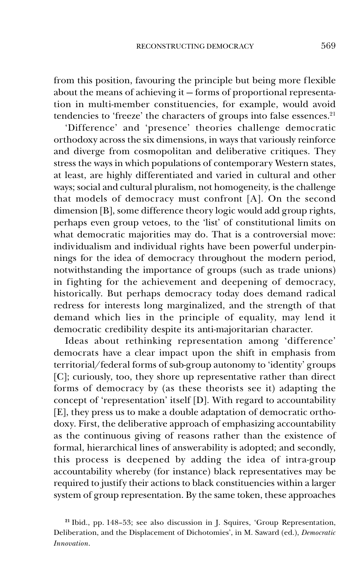from this position, favouring the principle but being more flexible about the means of achieving it — forms of proportional representation in multi-member constituencies, for example, would avoid tendencies to 'freeze' the characters of groups into false essences.<sup>21</sup>

'Difference' and 'presence' theories challenge democratic orthodoxy across the six dimensions, in ways that variously reinforce and diverge from cosmopolitan and deliberative critiques. They stress the ways in which populations of contemporary Western states, at least, are highly differentiated and varied in cultural and other ways; social and cultural pluralism, not homogeneity, is the challenge that models of democracy must confront [A]. On the second dimension [B], some difference theory logic would add group rights, perhaps even group vetoes, to the 'list' of constitutional limits on what democratic majorities may do. That is a controversial move: individualism and individual rights have been powerful underpinnings for the idea of democracy throughout the modern period, notwithstanding the importance of groups (such as trade unions) in fighting for the achievement and deepening of democracy, historically. But perhaps democracy today does demand radical redress for interests long marginalized, and the strength of that demand which lies in the principle of equality, may lend it democratic credibility despite its anti-majoritarian character.

Ideas about rethinking representation among 'difference' democrats have a clear impact upon the shift in emphasis from territorial/federal forms of sub-group autonomy to 'identity' groups [C]; curiously, too, they shore up representative rather than direct forms of democracy by (as these theorists see it) adapting the concept of 'representation' itself [D]. With regard to accountability [E], they press us to make a double adaptation of democratic orthodoxy. First, the deliberative approach of emphasizing accountability as the continuous giving of reasons rather than the existence of formal, hierarchical lines of answerability is adopted; and secondly, this process is deepened by adding the idea of intra-group accountability whereby (for instance) black representatives may be required to justify their actions to black constituencies within a larger system of group representation. By the same token, these approaches

**<sup>21</sup>** Ibid., pp. 148–53; see also discussion in J. Squires, 'Group Representation, Deliberation, and the Displacement of Dichotomies', in M. Saward (ed.), *Democratic Innovation*.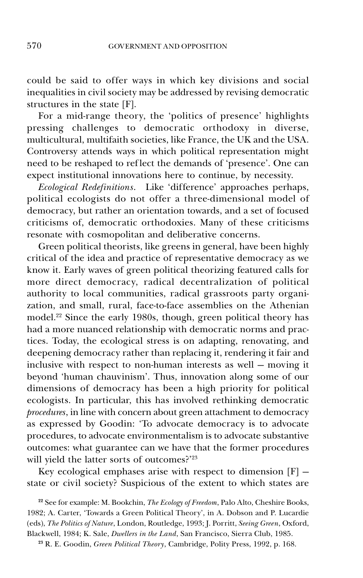could be said to offer ways in which key divisions and social inequalities in civil society may be addressed by revising democratic structures in the state [F].

For a mid-range theory, the 'politics of presence' highlights pressing challenges to democratic orthodoxy in diverse, multicultural, multifaith societies, like France, the UK and the USA. Controversy attends ways in which political representation might need to be reshaped to ref lect the demands of 'presence'. One can expect institutional innovations here to continue, by necessity.

*Ecological Redefinitions*. Like 'difference' approaches perhaps, political ecologists do not offer a three-dimensional model of democracy, but rather an orientation towards, and a set of focused criticisms of, democratic orthodoxies. Many of these criticisms resonate with cosmopolitan and deliberative concerns.

Green political theorists, like greens in general, have been highly critical of the idea and practice of representative democracy as we know it. Early waves of green political theorizing featured calls for more direct democracy, radical decentralization of political authority to local communities, radical grassroots party organization, and small, rural, face-to-face assemblies on the Athenian model.22 Since the early 1980s, though, green political theory has had a more nuanced relationship with democratic norms and practices. Today, the ecological stress is on adapting, renovating, and deepening democracy rather than replacing it, rendering it fair and inclusive with respect to non-human interests as well — moving it beyond 'human chauvinism'. Thus, innovation along some of our dimensions of democracy has been a high priority for political ecologists. In particular, this has involved rethinking democratic *procedures*, in line with concern about green attachment to democracy as expressed by Goodin: 'To advocate democracy is to advocate procedures, to advocate environmentalism is to advocate substantive outcomes: what guarantee can we have that the former procedures will yield the latter sorts of outcomes?'23

Key ecological emphases arise with respect to dimension  $[F]$  – state or civil society? Suspicious of the extent to which states are

**<sup>22</sup>** See for example: M. Bookchin, *The Ecology of Freedom*, Palo Alto, Cheshire Books, 1982; A. Carter, 'Towards a Green Political Theory', in A. Dobson and P. Lucardie (eds), *The Politics of Nature*, London, Routledge, 1993; J. Porritt, *Seeing Green*, Oxford, Blackwell, 1984; K. Sale, *Dwellers in the Land*, San Francisco, Sierra Club, 1985.

**<sup>23</sup>** R. E. Goodin, *Green Political Theory*, Cambridge, Polity Press, 1992, p. 168.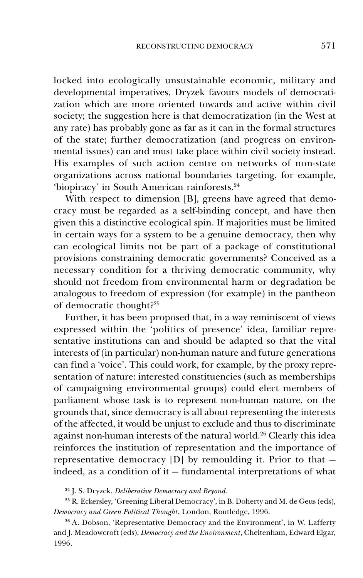locked into ecologically unsustainable economic, military and developmental imperatives, Dryzek favours models of democratization which are more oriented towards and active within civil society; the suggestion here is that democratization (in the West at any rate) has probably gone as far as it can in the formal structures of the state; further democratization (and progress on environmental issues) can and must take place within civil society instead. His examples of such action centre on networks of non-state organizations across national boundaries targeting, for example, 'biopiracy' in South American rainforests.24

With respect to dimension [B], greens have agreed that democracy must be regarded as a self-binding concept, and have then given this a distinctive ecological spin. If majorities must be limited in certain ways for a system to be a genuine democracy, then why can ecological limits not be part of a package of constitutional provisions constraining democratic governments? Conceived as a necessary condition for a thriving democratic community, why should not freedom from environmental harm or degradation be analogous to freedom of expression (for example) in the pantheon of democratic thought?25

Further, it has been proposed that, in a way reminiscent of views expressed within the 'politics of presence' idea, familiar representative institutions can and should be adapted so that the vital interests of (in particular) non-human nature and future generations can find a 'voice'. This could work, for example, by the proxy representation of nature: interested constituencies (such as memberships of campaigning environmental groups) could elect members of parliament whose task is to represent non-human nature, on the grounds that, since democracy is all about representing the interests of the affected, it would be unjust to exclude and thus to discriminate against non-human interests of the natural world.26 Clearly this idea reinforces the institution of representation and the importance of representative democracy  $[D]$  by remoulding it. Prior to that  $$ indeed, as a condition of it — fundamental interpretations of what

**<sup>24</sup>** J. S. Dryzek, *Deliberative Democracy and Beyond*.

**<sup>25</sup>** R. Eckersley, 'Greening Liberal Democracy', in B. Doherty and M. de Geus (eds), *Democracy and Green Political Thought*, London, Routledge, 1996.

**<sup>26</sup>** A. Dobson, 'Representative Democracy and the Environment', in W. Lafferty and J. Meadowcroft (eds), *Democracy and the Environment*, Cheltenham, Edward Elgar, 1996.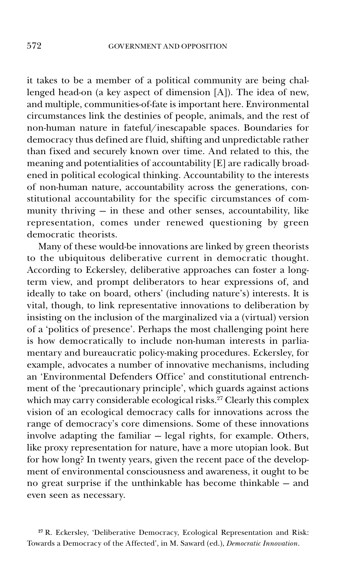it takes to be a member of a political community are being challenged head-on (a key aspect of dimension [A]). The idea of new, and multiple, communities-of-fate is important here. Environmental circumstances link the destinies of people, animals, and the rest of non-human nature in fateful/inescapable spaces. Boundaries for democracy thus defined are fluid, shifting and unpredictable rather than fixed and securely known over time. And related to this, the meaning and potentialities of accountability [E] are radically broadened in political ecological thinking. Accountability to the interests of non-human nature, accountability across the generations, constitutional accountability for the specific circumstances of community thriving — in these and other senses, accountability, like representation, comes under renewed questioning by green democratic theorists.

Many of these would-be innovations are linked by green theorists to the ubiquitous deliberative current in democratic thought. According to Eckersley, deliberative approaches can foster a longterm view, and prompt deliberators to hear expressions of, and ideally to take on board, others' (including nature's) interests. It is vital, though, to link representative innovations to deliberation by insisting on the inclusion of the marginalized via a (virtual) version of a 'politics of presence'. Perhaps the most challenging point here is how democratically to include non-human interests in parliamentary and bureaucratic policy-making procedures. Eckersley, for example, advocates a number of innovative mechanisms, including an 'Environmental Defenders Office' and constitutional entrenchment of the 'precautionary principle', which guards against actions which may carry considerable ecological risks.<sup>27</sup> Clearly this complex vision of an ecological democracy calls for innovations across the range of democracy's core dimensions. Some of these innovations involve adapting the familiar — legal rights, for example. Others, like proxy representation for nature, have a more utopian look. But for how long? In twenty years, given the recent pace of the development of environmental consciousness and awareness, it ought to be no great surprise if the unthinkable has become thinkable — and even seen as necessary.

**<sup>27</sup>** R. Eckersley, 'Deliberative Democracy, Ecological Representation and Risk: Towards a Democracy of the Affected', in M. Saward (ed.), *Democratic Innovation*.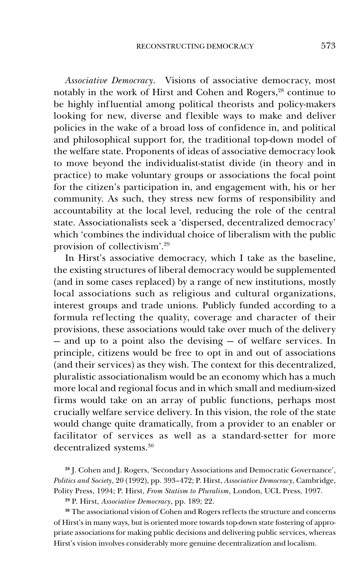*Associative Democracy*. Visions of associative democracy, most notably in the work of Hirst and Cohen and Rogers,<sup>28</sup> continue to be highly inf luential among political theorists and policy-makers looking for new, diverse and flexible ways to make and deliver policies in the wake of a broad loss of confidence in, and political and philosophical support for, the traditional top-down model of the welfare state. Proponents of ideas of associative democracy look to move beyond the individualist-statist divide (in theory and in practice) to make voluntary groups or associations the focal point for the citizen's participation in, and engagement with, his or her community. As such, they stress new forms of responsibility and accountability at the local level, reducing the role of the central state. Associationalists seek a 'dispersed, decentralized democracy' which 'combines the individual choice of liberalism with the public provision of collectivism'.29

In Hirst's associative democracy, which I take as the baseline, the existing structures of liberal democracy would be supplemented (and in some cases replaced) by a range of new institutions, mostly local associations such as religious and cultural organizations, interest groups and trade unions. Publicly funded according to a formula ref lecting the quality, coverage and character of their provisions, these associations would take over much of the delivery — and up to a point also the devising — of welfare services. In principle, citizens would be free to opt in and out of associations (and their services) as they wish. The context for this decentralized, pluralistic associationalism would be an economy which has a much more local and regional focus and in which small and medium-sized firms would take on an array of public functions, perhaps most crucially welfare service delivery. In this vision, the role of the state would change quite dramatically, from a provider to an enabler or facilitator of services as well as a standard-setter for more decentralized systems.30

**<sup>28</sup>** J. Cohen and J. Rogers, 'Secondary Associations and Democratic Governance', *Politics and Society*, 20 (1992), pp. 393–472; P. Hirst, *Associative Democracy*, Cambridge, Polity Press, 1994; P. Hirst, *From Statism to Pluralism*, London, UCL Press, 1997.

**<sup>29</sup>** P. Hirst, *Associative Democracy*, pp. 189; 22.

**<sup>30</sup>** The associational vision of Cohen and Rogers reflects the structure and concerns of Hirst's in many ways, but is oriented more towards top-down state fostering of appropriate associations for making public decisions and delivering public services, whereas Hirst's vision involves considerably more genuine decentralization and localism.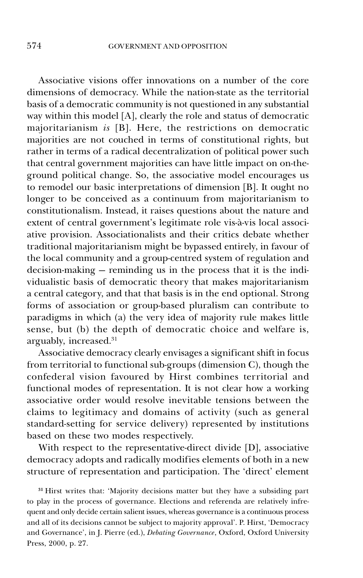Associative visions offer innovations on a number of the core dimensions of democracy. While the nation-state as the territorial basis of a democratic community is not questioned in any substantial way within this model [A], clearly the role and status of democratic majoritarianism *is* [B]. Here, the restrictions on democratic majorities are not couched in terms of constitutional rights, but rather in terms of a radical decentralization of political power such that central government majorities can have little impact on on-theground political change. So, the associative model encourages us to remodel our basic interpretations of dimension [B]. It ought no longer to be conceived as a continuum from majoritarianism to constitutionalism. Instead, it raises questions about the nature and extent of central government's legitimate role vis-à-vis local associative provision. Associationalists and their critics debate whether traditional majoritarianism might be bypassed entirely, in favour of the local community and a group-centred system of regulation and decision-making — reminding us in the process that it is the individualistic basis of democratic theory that makes majoritarianism a central category, and that that basis is in the end optional. Strong forms of association or group-based pluralism can contribute to paradigms in which (a) the very idea of majority rule makes little sense, but (b) the depth of democratic choice and welfare is, arguably, increased.31

Associative democracy clearly envisages a significant shift in focus from territorial to functional sub-groups (dimension C), though the confederal vision favoured by Hirst combines territorial and functional modes of representation. It is not clear how a working associative order would resolve inevitable tensions between the claims to legitimacy and domains of activity (such as general standard-setting for service delivery) represented by institutions based on these two modes respectively.

With respect to the representative-direct divide [D], associative democracy adopts and radically modifies elements of both in a new structure of representation and participation. The 'direct' element

**<sup>31</sup>** Hirst writes that: 'Majority decisions matter but they have a subsiding part to play in the process of governance. Elections and referenda are relatively infrequent and only decide certain salient issues, whereas governance is a continuous process and all of its decisions cannot be subject to majority approval'. P. Hirst, 'Democracy and Governance', in J. Pierre (ed.), *Debating Governance*, Oxford, Oxford University Press, 2000, p. 27.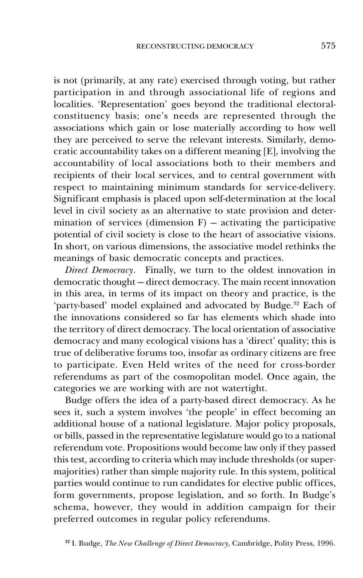is not (primarily, at any rate) exercised through voting, but rather participation in and through associational life of regions and localities. 'Representation' goes beyond the traditional electoralconstituency basis; one's needs are represented through the associations which gain or lose materially according to how well they are perceived to serve the relevant interests. Similarly, democratic accountability takes on a different meaning [E], involving the accountability of local associations both to their members and recipients of their local services, and to central government with respect to maintaining minimum standards for service-delivery. Significant emphasis is placed upon self-determination at the local level in civil society as an alternative to state provision and determination of services (dimension  $F$ ) – activating the participative potential of civil society is close to the heart of associative visions. In short, on various dimensions, the associative model rethinks the meanings of basic democratic concepts and practices.

*Direct Democracy*. Finally, we turn to the oldest innovation in democratic thought — direct democracy. The main recent innovation in this area, in terms of its impact on theory and practice, is the 'party-based' model explained and advocated by Budge.<sup>32</sup> Each of the innovations considered so far has elements which shade into the territory of direct democracy. The local orientation of associative democracy and many ecological visions has a 'direct' quality; this is true of deliberative forums too, insofar as ordinary citizens are free to participate. Even Held writes of the need for cross-border referendums as part of the cosmopolitan model. Once again, the categories we are working with are not watertight.

Budge offers the idea of a party-based direct democracy. As he sees it, such a system involves 'the people' in effect becoming an additional house of a national legislature. Major policy proposals, or bills, passed in the representative legislature would go to a national referendum vote. Propositions would become law only if they passed this test, according to criteria which may include thresholds (or supermajorities) rather than simple majority rule. In this system, political parties would continue to run candidates for elective public offices, form governments, propose legislation, and so forth. In Budge's schema, however, they would in addition campaign for their preferred outcomes in regular policy referendums.

**<sup>32</sup>** I. Budge, *The New Challenge of Direct Democracy*, Cambridge, Polity Press, 1996.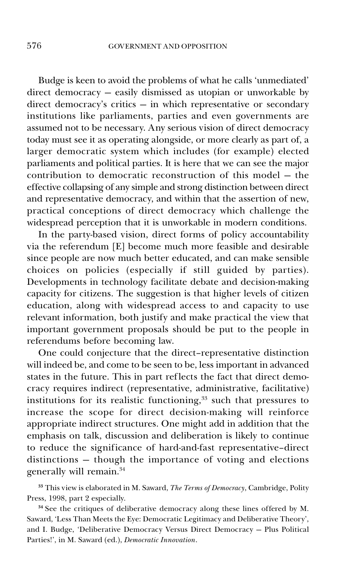Budge is keen to avoid the problems of what he calls 'unmediated' direct democracy — easily dismissed as utopian or unworkable by direct democracy's critics — in which representative or secondary institutions like parliaments, parties and even governments are assumed not to be necessary. Any serious vision of direct democracy today must see it as operating alongside, or more clearly as part of, a larger democratic system which includes (for example) elected parliaments and political parties. It is here that we can see the major contribution to democratic reconstruction of this model — the effective collapsing of any simple and strong distinction between direct and representative democracy, and within that the assertion of new, practical conceptions of direct democracy which challenge the widespread perception that it is unworkable in modern conditions.

In the party-based vision, direct forms of policy accountability via the referendum [E] become much more feasible and desirable since people are now much better educated, and can make sensible choices on policies (especially if still guided by parties). Developments in technology facilitate debate and decision-making capacity for citizens. The suggestion is that higher levels of citizen education, along with widespread access to and capacity to use relevant information, both justify and make practical the view that important government proposals should be put to the people in referendums before becoming law.

One could conjecture that the direct–representative distinction will indeed be, and come to be seen to be, less important in advanced states in the future. This in part reflects the fact that direct democracy requires indirect (representative, administrative, facilitative) institutions for its realistic functioning,<sup>33</sup> such that pressures to increase the scope for direct decision-making will reinforce appropriate indirect structures. One might add in addition that the emphasis on talk, discussion and deliberation is likely to continue to reduce the significance of hard-and-fast representative–direct distinctions — though the importance of voting and elections generally will remain.34

**<sup>33</sup>** This view is elaborated in M. Saward, *The Terms of Democracy*, Cambridge, Polity Press, 1998, part 2 especially.

**<sup>34</sup>** See the critiques of deliberative democracy along these lines offered by M. Saward, 'Less Than Meets the Eye: Democratic Legitimacy and Deliberative Theory', and I. Budge, 'Deliberative Democracy Versus Direct Democracy — Plus Political Parties!', in M. Saward (ed.), *Democratic Innovation*.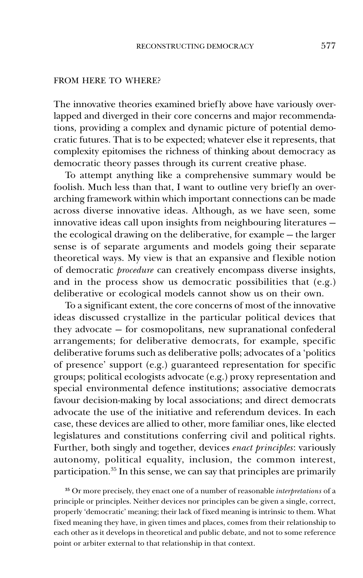#### FROM HERE TO WHERE?

The innovative theories examined briefly above have variously overlapped and diverged in their core concerns and major recommendations, providing a complex and dynamic picture of potential democratic futures. That is to be expected; whatever else it represents, that complexity epitomises the richness of thinking about democracy as democratic theory passes through its current creative phase.

To attempt anything like a comprehensive summary would be foolish. Much less than that, I want to outline very briefly an overarching framework within which important connections can be made across diverse innovative ideas. Although, as we have seen, some innovative ideas call upon insights from neighbouring literatures the ecological drawing on the deliberative, for example — the larger sense is of separate arguments and models going their separate theoretical ways. My view is that an expansive and flexible notion of democratic *procedure* can creatively encompass diverse insights, and in the process show us democratic possibilities that (e.g.) deliberative or ecological models cannot show us on their own.

To a significant extent, the core concerns of most of the innovative ideas discussed crystallize in the particular political devices that they advocate — for cosmopolitans, new supranational confederal arrangements; for deliberative democrats, for example, specific deliberative forums such as deliberative polls; advocates of a 'politics of presence' support (e.g.) guaranteed representation for specific groups; political ecologists advocate (e.g.) proxy representation and special environmental defence institutions; associative democrats favour decision-making by local associations; and direct democrats advocate the use of the initiative and referendum devices. In each case, these devices are allied to other, more familiar ones, like elected legislatures and constitutions conferring civil and political rights. Further, both singly and together, devices *enact principles*: variously autonomy, political equality, inclusion, the common interest, participation.35 In this sense, we can say that principles are primarily

**<sup>35</sup>** Or more precisely, they enact one of a number of reasonable *interpretations* of a principle or principles. Neither devices nor principles can be given a single, correct, properly 'democratic' meaning; their lack of fixed meaning is intrinsic to them. What fixed meaning they have, in given times and places, comes from their relationship to each other as it develops in theoretical and public debate, and not to some reference point or arbiter external to that relationship in that context.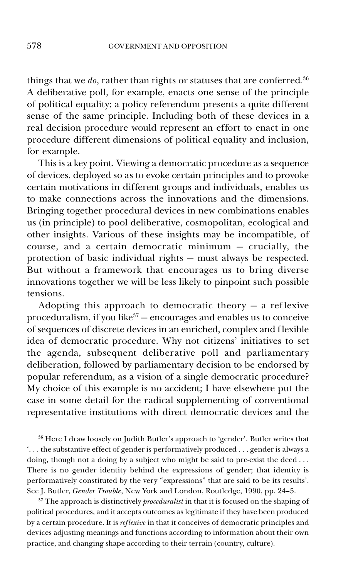things that we *do*, rather than rights or statuses that are conferred*.* 36 A deliberative poll, for example, enacts one sense of the principle of political equality; a policy referendum presents a quite different sense of the same principle. Including both of these devices in a real decision procedure would represent an effort to enact in one procedure different dimensions of political equality and inclusion, for example.

This is a key point. Viewing a democratic procedure as a sequence of devices, deployed so as to evoke certain principles and to provoke certain motivations in different groups and individuals, enables us to make connections across the innovations and the dimensions. Bringing together procedural devices in new combinations enables us (in principle) to pool deliberative, cosmopolitan, ecological and other insights. Various of these insights may be incompatible, of course, and a certain democratic minimum — crucially, the protection of basic individual rights — must always be respected. But without a framework that encourages us to bring diverse innovations together we will be less likely to pinpoint such possible tensions.

Adopting this approach to democratic theory  $-$  a reflexive proceduralism, if you like $37$  – encourages and enables us to conceive of sequences of discrete devices in an enriched, complex and flexible idea of democratic procedure. Why not citizens' initiatives to set the agenda, subsequent deliberative poll and parliamentary deliberation, followed by parliamentary decision to be endorsed by popular referendum, as a vision of a single democratic procedure? My choice of this example is no accident; I have elsewhere put the case in some detail for the radical supplementing of conventional representative institutions with direct democratic devices and the

**<sup>36</sup>** Here I draw loosely on Judith Butler's approach to 'gender'. Butler writes that '. . . the substantive effect of gender is performatively produced . . . gender is always a doing, though not a doing by a subject who might be said to pre-exist the deed . . . There is no gender identity behind the expressions of gender; that identity is performatively constituted by the very "expressions" that are said to be its results'. See J. Butler, *Gender Trouble*, New York and London, Routledge, 1990, pp. 24–5.

**<sup>37</sup>** The approach is distinctively *proceduralist* in that it is focused on the shaping of political procedures, and it accepts outcomes as legitimate if they have been produced by a certain procedure. It is *reflexive* in that it conceives of democratic principles and devices adjusting meanings and functions according to information about their own practice, and changing shape according to their terrain (country, culture).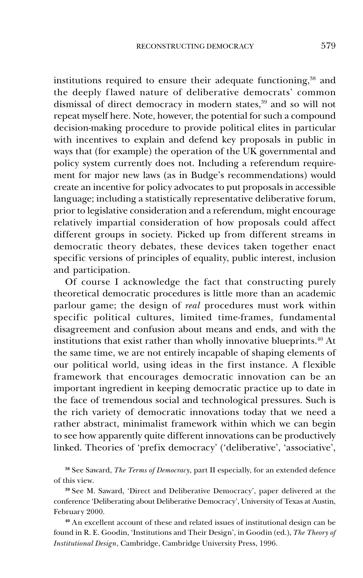institutions required to ensure their adequate functioning,<sup>38</sup> and the deeply flawed nature of deliberative democrats' common dismissal of direct democracy in modern states,<sup>39</sup> and so will not repeat myself here. Note, however, the potential for such a compound decision-making procedure to provide political elites in particular with incentives to explain and defend key proposals in public in ways that (for example) the operation of the UK governmental and policy system currently does not. Including a referendum requirement for major new laws (as in Budge's recommendations) would create an incentive for policy advocates to put proposals in accessible language; including a statistically representative deliberative forum, prior to legislative consideration and a referendum, might encourage relatively impartial consideration of how proposals could affect different groups in society. Picked up from different streams in democratic theory debates, these devices taken together enact specific versions of principles of equality, public interest, inclusion and participation.

Of course I acknowledge the fact that constructing purely theoretical democratic procedures is little more than an academic parlour game; the design of *real* procedures must work within specific political cultures, limited time-frames, fundamental disagreement and confusion about means and ends, and with the institutions that exist rather than wholly innovative blueprints.40 At the same time, we are not entirely incapable of shaping elements of our political world, using ideas in the first instance. A f lexible framework that encourages democratic innovation can be an important ingredient in keeping democratic practice up to date in the face of tremendous social and technological pressures. Such is the rich variety of democratic innovations today that we need a rather abstract, minimalist framework within which we can begin to see how apparently quite different innovations can be productively linked. Theories of 'prefix democracy' ('deliberative', 'associative',

**<sup>38</sup>** See Saward, *The Terms of Democracy*, part II especially, for an extended defence of this view.

**<sup>39</sup>** See M. Saward, 'Direct and Deliberative Democracy', paper delivered at the conference 'Deliberating about Deliberative Democracy', University of Texas at Austin, February 2000.

**<sup>40</sup>** An excellent account of these and related issues of institutional design can be found in R. E. Goodin, 'Institutions and Their Design', in Goodin (ed.), *The Theory of Institutional Design*, Cambridge, Cambridge University Press, 1996.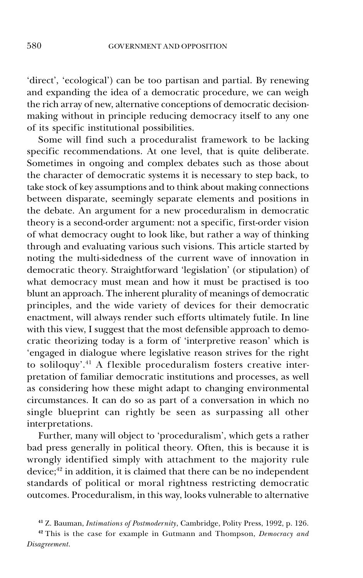'direct', 'ecological') can be too partisan and partial. By renewing and expanding the idea of a democratic procedure, we can weigh the rich array of new, alternative conceptions of democratic decisionmaking without in principle reducing democracy itself to any one of its specific institutional possibilities.

Some will find such a proceduralist framework to be lacking specific recommendations. At one level, that is quite deliberate. Sometimes in ongoing and complex debates such as those about the character of democratic systems it is necessary to step back, to take stock of key assumptions and to think about making connections between disparate, seemingly separate elements and positions in the debate. An argument for a new proceduralism in democratic theory is a second-order argument: not a specific, first-order vision of what democracy ought to look like, but rather a way of thinking through and evaluating various such visions. This article started by noting the multi-sidedness of the current wave of innovation in democratic theory. Straightforward 'legislation' (or stipulation) of what democracy must mean and how it must be practised is too blunt an approach. The inherent plurality of meanings of democratic principles, and the wide variety of devices for their democratic enactment, will always render such efforts ultimately futile. In line with this view, I suggest that the most defensible approach to democratic theorizing today is a form of 'interpretive reason' which is 'engaged in dialogue where legislative reason strives for the right to soliloquy'.<sup>41</sup> A flexible proceduralism fosters creative interpretation of familiar democratic institutions and processes, as well as considering how these might adapt to changing environmental circumstances. It can do so as part of a conversation in which no single blueprint can rightly be seen as surpassing all other interpretations.

Further, many will object to 'proceduralism', which gets a rather bad press generally in political theory. Often, this is because it is wrongly identified simply with attachment to the majority rule device;42 in addition, it is claimed that there can be no independent standards of political or moral rightness restricting democratic outcomes. Proceduralism, in this way, looks vulnerable to alternative

**<sup>41</sup>** Z. Bauman, *Intimations of Postmodernity*, Cambridge, Polity Press, 1992, p. 126.

**<sup>42</sup>** This is the case for example in Gutmann and Thompson, *Democracy and Disagreement*.